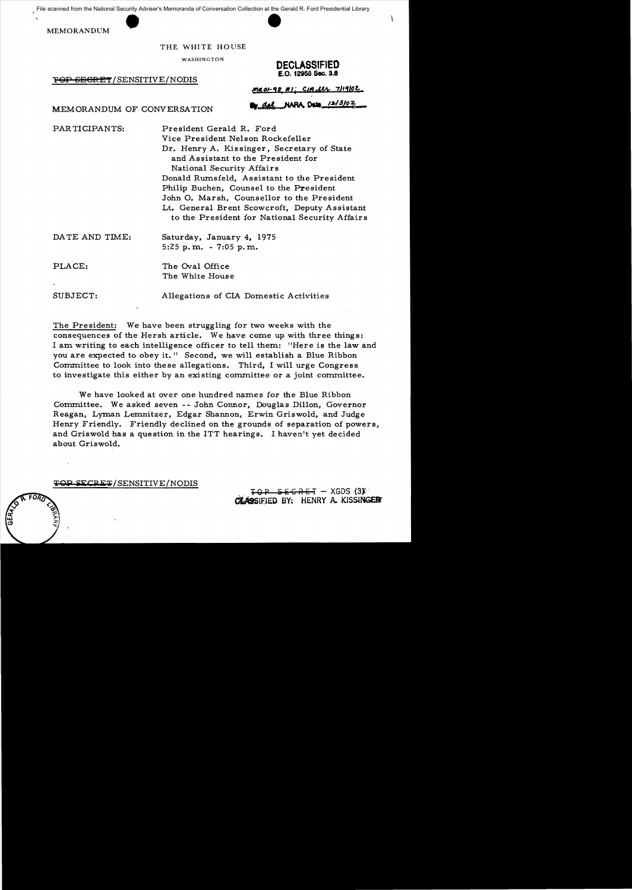scanned from the National Security Adviser<br>MEMORANDUM File scanned from the National Security Adviser's Memoranda of Conversation Collection at the Gerald R. Ford Presidential Library

#### THE WHITE HOUSE

'FOP SBGRET/SENSITIVE/NODIS

WASHINGTON **DECLASSIFIED**  £.0. 12958 \$ec. 3.8

 $MROI-98 H$ : CIA Lts 7/19/02

### MEMORANDUM OF CONVERSATION We did NARA Dets 12/3/02

PAR TICIPANTS: President Gerald R. Ford

Vice President Nelson Rockefeller Dr. Henry A. Kissinger, Secretary of State and Assistant to the President for National Security Affairs Donald Rumsfe1d, Assistant to the President Philip Buchen, Counsel to the President John O. Marsh, Counsellor to the President Lt. General Brent Scowcroft, Deputy Assistant to the President for National Security Affairs

DA TE AND TIME: Saturday, January 4, 1975

5:25 p. m. - 7:05 p. m.

PLACE: The Oval Office The White House

SUBJECT: Allegations of CIA Domestic Activities

The President: We have been struggling for two weeks with the consequences of the Hersh article. We have come up with three things: I am writing to each intelligence officer to tell them: "Here is the law and you are expected to obey it." Second, we will establish a Blue Ribbon Committee to look into these allegations. Third, I will urge Congress to investigate this either by an existing committee or a joint committee.

We have looked at over one hundred names for the Blue Ribbon Committee. We asked seven -- John Connor, Douglas Dillon, Governor Reagan, Lyman Lemnitzer, Edgar Shannon, Erwin Griswold, and Judge Henry Friendly. Friendly declined on the grounds of separation of powers, and Griswold has a question in the ITT hearings. I haven't yet decided about Griswold.

### TOP SECRET/SENSITIVE/NODIS

 $-$  SEGRET - XGDS (3): *CTLASSIEIED BY: HENRY A. KISSINGER*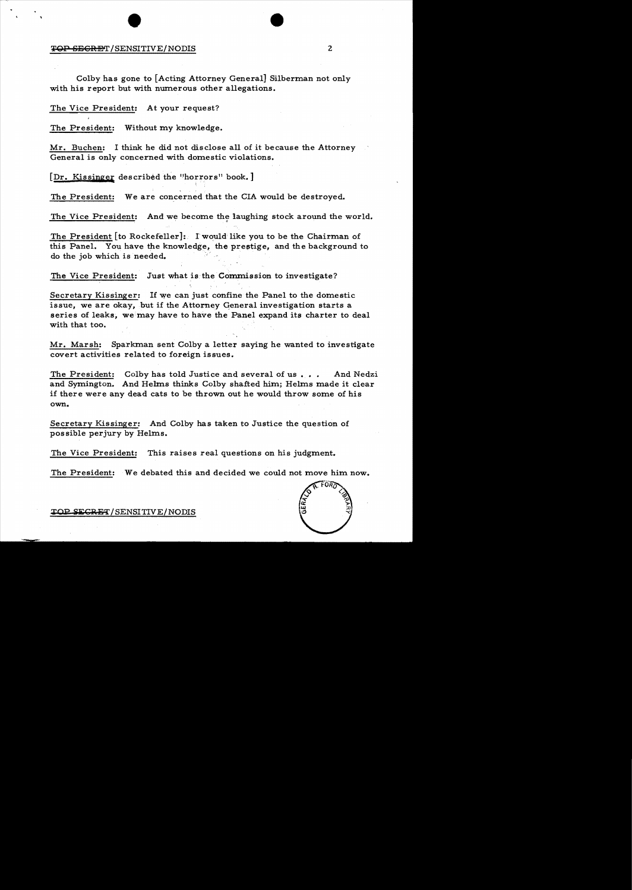# **EXAMPLE 1999 12:25 TOP SECRET/SENSITIVE/NODIS**

Colby has gone to [Acting Attorney General] Silberman not only with his report but with numerous other allegations.

#### The Vice President: At your request?

The President: Without my knowledge.

Mr. Buchen: I think he did not disclose all of it because the Attorney General is only concerned with domestic violations.

[Dr. Kissinger described the "horrors" book.]

The President: We are concerned that the CIA would be destroyed.

The Vice President: And we become the laughing stock around the world.

The President [to Rockefeller]: lwould'like you to be the Chairman of this Panel. You have the knowledge, the prestige, and the background to do the job which is needed.

The Vice President: Just what is the Commission to investigate?

Secretary Kissinger: If we can just confine the Panel to the domestic issue, we are okay, but if the Attorney General investigation starts a series of leaks, we may have to have the Panel expand its charter to deal with that too.

Mr. Marsh: Sparkman sent Colby a letter saying he wanted to investigate covert activities related to foreign issues.

The President: Colby has told Justice and several of us... And Nedzi and Symington. And Helms thinks Colby shafted him; Helms made it clear if there were any dead cats to be thrown out he would throw some of his own.

Secretary Kissinger: And Colby has taken to Justice the question of possible perjury by Helms.

The Vice President: This raises real questions on his judgment.

The President: We debated this and decided we could not move him now.



TOP SECRET/SENSITIVE/NODIS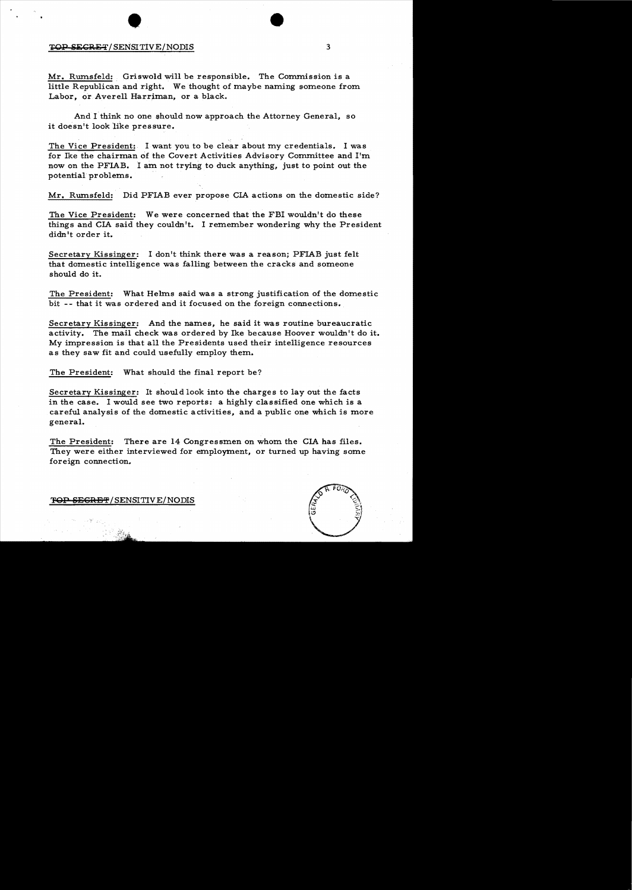## ending the state of the state of the state of the state of the state of the state of the state of the state of the state of the state of the state of the state of the state of the state of the state of the state of the sta

Mr. Rwnsfeld: Griswold will be responsible. The Commission is a little Republican and right. We thought of maybe naming someone from Labor, or Averell Harriman, or a black.

And I think no one should now approach the Attorney General, so it doesn't look like pressure.

The Vice President: I want you to be clear about my credentials. I was for Ike the chairman of the Covert Activities Advisory Committee and I'm now on the PFIAB. I am not trying to duck anything, just to point out the potential problems.

Mr. Rumsfeld: Did PFIAB ever propose CIA actions on the domestic side?

The Vice President: We were concerned that the FBI wouldn't do these things and CIA said they couldn't. I remember wondering why the President didn't order it.

Secretary Kissinger: I don't think there was a reason; PFIAB just felt that domestic intelligence was falling between the cracks and someone should do it.

The President: What Helms said was a strong justification of the domestic bit -- that it was ordered and it focused on the foreign connections.

Secretary Kissinger: And the names, he said it was routine bureaucratic activity. Themail check was ordered by Ike because Hoover wouldn't do it. My impression is that all the Presidents used their intelligence resources as they saw fit and could usefully employ them.

The President: What should the final report be?

Secretary Kissinger: It should look into the charges to layout the facts in the case. I would see two reports: a highly classified one which is a careful analysis of the domestic activities, and a public one which is more general.

The President: There are 14 Congressmen on whom the CIA has files. They were either interviewed for employment, or turned up having some foreign connection.

TOP SEGRET/SENSITIVE/NODIS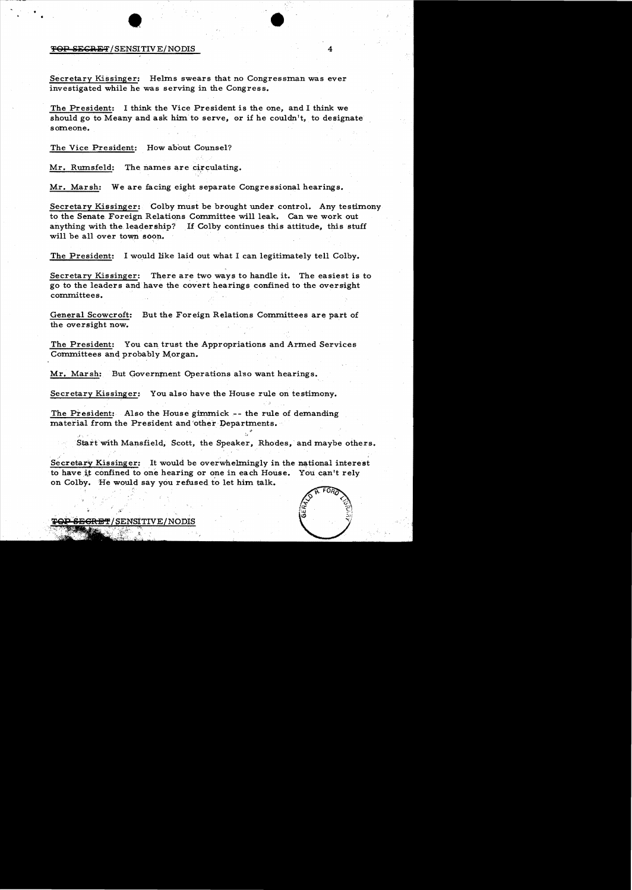### • • TOP SECRET/SENSITIVE/NODIS

Secretary Kissinger: Helms swears that no Congressman was ever investigated while he was serving in the Congress.

The President: I think the Vice President is the one, and I think we should go to Meany and ask him to serve, or if he couldn't, to designate someone.

The Vice President: How about Counsel?

Mr. Rumsfeld: The names are circulating.

Mr. Marsh: We are facing eight separate Congressional hearings.

Secretary Kissinger: Colby must be brought under control. Any testimony to the Senate Foreign Relations Committee will leak. Can we work out anything with the. leadership? If Colby continues this attitude, this stuff will be all over town soon.

The President: I would like laid out what I can legitimately tell Colby.

Secretary Kissinger: There are two ways to handle it. The easiest is to go to the leaders and have the covert hearings confined to the oversight committees.

General Scowcroft: But the Foreign Relations Committees are part of the oversight now.

The President: You can trust the Appropriations and Armed Services Committees and probably Morgan.

Mr. Marsh: But Government Operations also want hearings.

 $\mathcal{L}_\infty$  ) is the contract of the contract of the contract of the contract of the contract of the contract of the contract of the contract of the contract of the contract of the contract of the contract of the contract

Secretary Kissinger: You also have the House rule on testimony.

The President: Also the House gimmick-- the rule of demanding material from the President and 'other Departments.

Start with Mansfield, Scott, the Speaker, Rhodes, and maybe others.

Secretary Kissinger: It would be overwhelmingly in the national interest to have it confined to one hearing or one in each House. You can't rely on Colby. He would say you refused to let him talk.



<del>SEGRET</del>/SENSITIVE/NODIS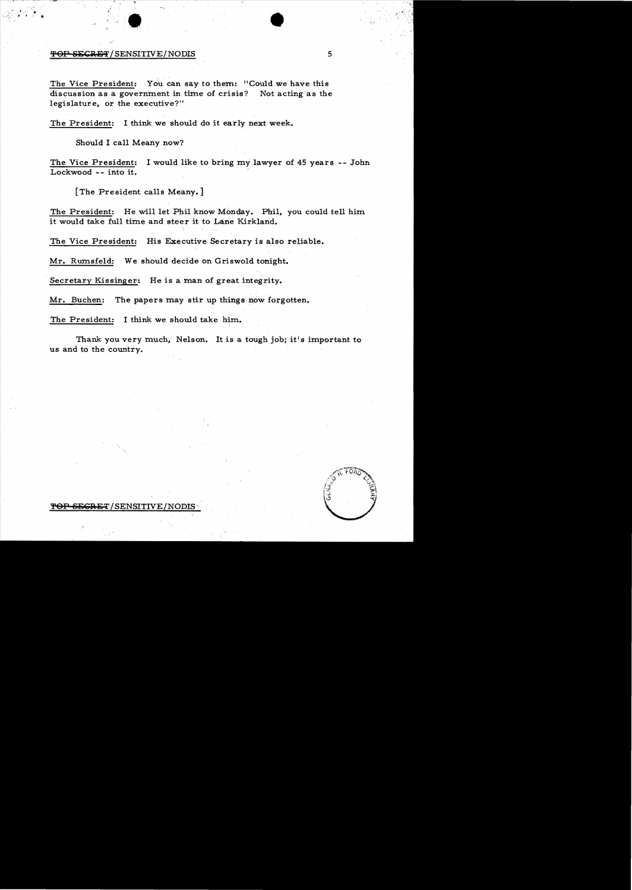$\bullet$ TOP SECRET/SENSITIVE/NODIS 5

The Vice President: You can say to them: "Could we have this discussion as a government in time of crisis? Not acting as the legislature, or the executive?"

The President: I think we should do it early next week.

Should I call Meany now?

The Vice President: I would like to bring my lawyer of 45 years -- John Lockwood -- into it.

[The President calls Meany.]

The President: He will let Phil know Monday. Phil, you could tell him it would take full time and steer it to Lane Kirkland.

The Vice President: His Executive Secretary is also reliable.

Mr. Rumsfeld: We should decide on Griswold tonight.

. Secretary Kissinger: He is a man of great integrity.

Mr. Buchen: The papers may stir up things now forgotten.

The President: I think we should take him.

Thank you very much, Nelson. It is a tough job; it's important to us and to the country.



ET/SENSITIVE/NODIS·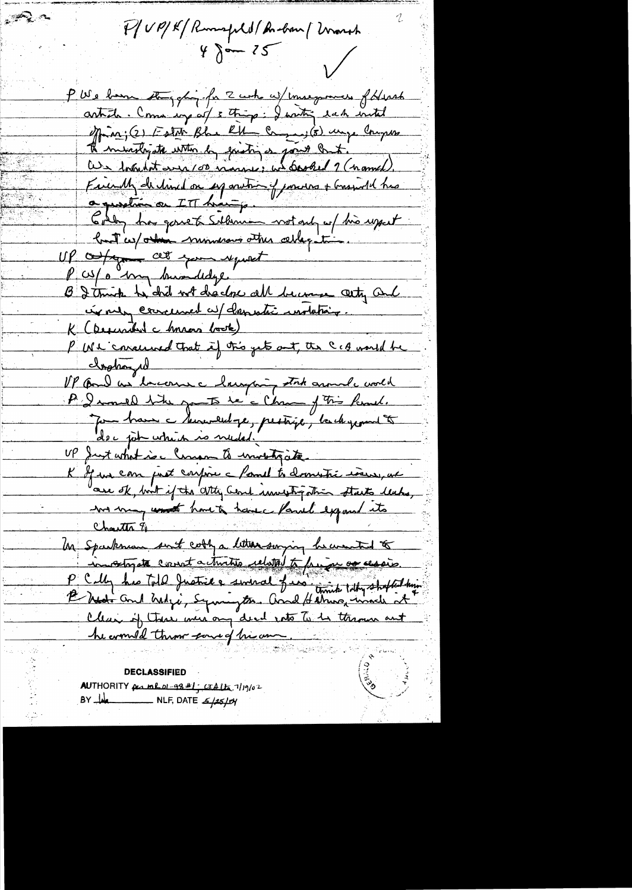P/UP/K/Runspld/Andrew/Wrongh  $4 \delta - 12$ 

PWs born they ghing for 2 who w/ mose proves format article. Come egg at 5 thing: I writing each with offina; (2) Estat Blue RH - Campas; (5) unge Compute Il ministry the with by existing a point but. <u>au 1 routiet even commence in booked 9 (nomed)</u> Finish de line de 17 onvir et pourre + Grandel hus<br>a question ou ITT huitip. Goldy has gone to Salamon wot only up this uppert huit ces / ordrin mundeaux atten cette patient UP offer at your request P cop o bry buondedge. B I truck he did not disclose all become cety and in men concerned au channatic instataire. K (Descentive chances book) P We concerned that if this gets out, the CCA would be<br>Instrumed that if this gets out, the CCA would be<br>IP Come as become changing state around world P I mould take you to be a Chang of This Remel. Jan brann à terremelloye, prestage, la chapment der jok which is needed. UP Just what is a larger to unotracte K If we can just confine a famil to dominate insure, and are of, but if the atty Cent immestigation starts leaks, me may unt have to have familiexpand its Un Sparkman sunt cothy a litter surging he wanted to invadigate cornect a turities related to four as session. P Celly his Told Justice a swinal find time tilly shopled by Clean of these were any dead note to be thrown ant he would throw eared him an a Rigaland

DECLASSIFIED AUTHORITY per mhol-98 #1; CTALLE 7/19/02 BY WA NLF, DATE 5/25/04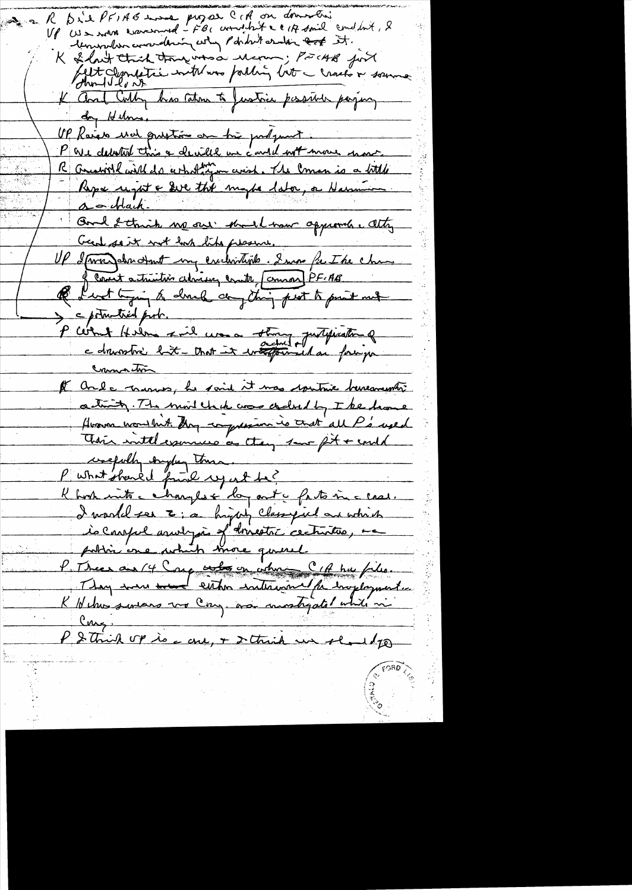Die PFIAG more propose CCA on domestions K temporation converting why positive andin took it. K & last thick thoughts a Mering; PECHB fort dett clandatie intremer partin litte cracho & soume K and Colly has cato to Justice persive paying day Helms. UP Raier und prostice en trè prégnant. R Amerillaire de certationnement. The Comen is a bittle a - Mach. Good & thick no our short har approved. Atty<br>Grad soit with the presence.<br>Up dave des dont my exclusities. I was fut the chan-Q furt tiging to donch any thing peat to prot met > c potrutied prob. Commaction It and a manus, he said it was spritive beneavement activity. The modelist was credit by The home However wond but they compression is and all P's used Their intelegamenco as they save fit + could creepolly englang toma. P'ushat should find up ut be? K host into charges & log ant a faito micleal. I world see E; a highly classified an which is Careful assult pas et drivestre cecturitées, ma P. Meer aux 14 Comp entre en citme C 1 de huisselles. They were weed either intervent for imploymenter K Nehus sentars vo Con, as montigated while in Cong. P & thick up is a cre, + 2 thick un shoul to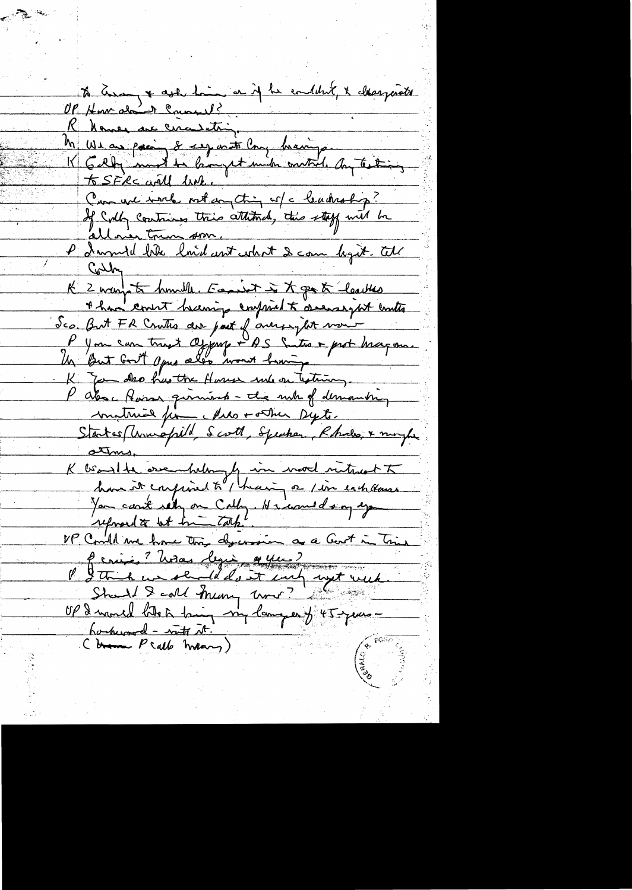to Europe ask him er if he enddut, & desergents R Names are circulating. M We as paring & seg mote Cong bearing.<br>K Gely mont to lampet much environ any Testing Comment with out of this of a leadership? ellower trun som. P I would bike loid ant what I can light. We Contre 1 Avrille. Famille à 7 par à leattes Sco. But FR Crutes der part of aunger fut mour P you can trust depay + AS Sites + prot bragon. K You do has the House who on testimony. P also flasse querient - the mile of demanding matrice fin Mes tothe Dyte. Startes Municipald, Scott, Speaker, Rhodes, & moyte K beautres.<br>K beautre original to thain not interest to You cant rely on Colly. He would any eye P String ? With lying a year ?<br>P Strich un sended out and ant week OP I wanted that hing my lamper of 45 years harhward - wat it!